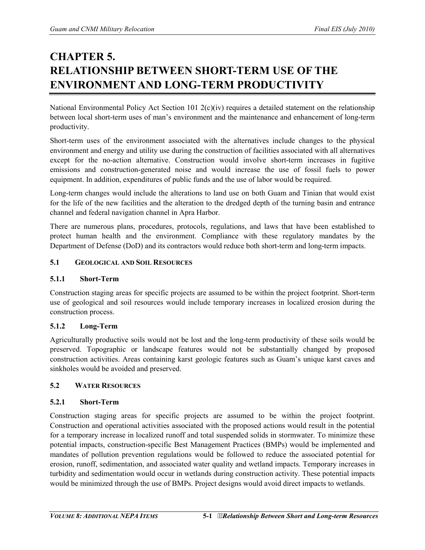# **CHAPTER 5. RELATIONSHIP BETWEEN SHORT-TERM USE OF THE ENVIRONMENT AND LONG-TERM PRODUCTIVITY**

National Environmental Policy Act Section 101 2(c)(iv) requires a detailed statement on the relationship between local short-term uses of man's environment and the maintenance and enhancement of long-term productivity.

Short-term uses of the environment associated with the alternatives include changes to the physical environment and energy and utility use during the construction of facilities associated with all alternatives except for the no-action alternative. Construction would involve short-term increases in fugitive emissions and construction-generated noise and would increase the use of fossil fuels to power equipment. In addition, expenditures of public funds and the use of labor would be required.

Long-term changes would include the alterations to land use on both Guam and Tinian that would exist for the life of the new facilities and the alteration to the dredged depth of the turning basin and entrance channel and federal navigation channel in Apra Harbor.

There are numerous plans, procedures, protocols, regulations, and laws that have been established to protect human health and the environment. Compliance with these regulatory mandates by the Department of Defense (DoD) and its contractors would reduce both short-term and long-term impacts.

# **5.1 GEOLOGICAL AND SOIL RESOURCES**

# **5.1.1 Short-Term**

Construction staging areas for specific projects are assumed to be within the project footprint. Short-term use of geological and soil resources would include temporary increases in localized erosion during the construction process.

# **5.1.2 Long-Term**

Agriculturally productive soils would not be lost and the long-term productivity of these soils would be preserved. Topographic or landscape features would not be substantially changed by proposed construction activities. Areas containing karst geologic features such as Guam's unique karst caves and sinkholes would be avoided and preserved.

# **5.2 WATER RESOURCES**

# **5.2.1 Short-Term**

Construction staging areas for specific projects are assumed to be within the project footprint. Construction and operational activities associated with the proposed actions would result in the potential for a temporary increase in localized runoff and total suspended solids in stormwater. To minimize these potential impacts, construction-specific Best Management Practices (BMPs) would be implemented and mandates of pollution prevention regulations would be followed to reduce the associated potential for erosion, runoff, sedimentation, and associated water quality and wetland impacts. Temporary increases in turbidity and sedimentation would occur in wetlands during construction activity. These potential impacts would be minimized through the use of BMPs. Project designs would avoid direct impacts to wetlands.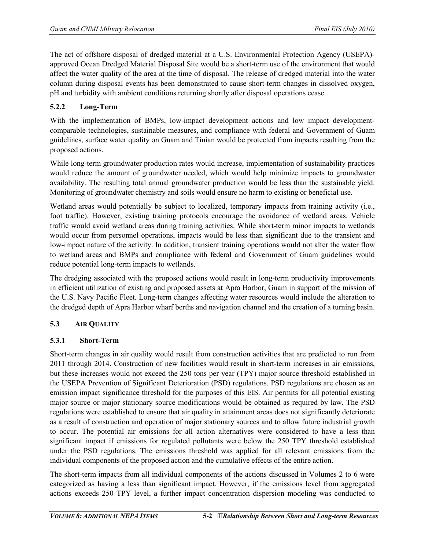The act of offshore disposal of dredged material at a U.S. Environmental Protection Agency (USEPA) approved Ocean Dredged Material Disposal Site would be a short-term use of the environment that would affect the water quality of the area at the time of disposal. The release of dredged material into the water column during disposal events has been demonstrated to cause short-term changes in dissolved oxygen, pH and turbidity with ambient conditions returning shortly after disposal operations cease.

# **5.2.2 Long-Term**

With the implementation of BMPs, low-impact development actions and low impact developmentcomparable technologies, sustainable measures, and compliance with federal and Government of Guam guidelines, surface water quality on Guam and Tinian would be protected from impacts resulting from the proposed actions.

While long-term groundwater production rates would increase, implementation of sustainability practices would reduce the amount of groundwater needed, which would help minimize impacts to groundwater availability. The resulting total annual groundwater production would be less than the sustainable yield. Monitoring of groundwater chemistry and soils would ensure no harm to existing or beneficial use.

Wetland areas would potentially be subject to localized, temporary impacts from training activity (i.e., foot traffic). However, existing training protocols encourage the avoidance of wetland areas. Vehicle traffic would avoid wetland areas during training activities. While short-term minor impacts to wetlands would occur from personnel operations, impacts would be less than significant due to the transient and low-impact nature of the activity. In addition, transient training operations would not alter the water flow to wetland areas and BMPs and compliance with federal and Government of Guam guidelines would reduce potential long-term impacts to wetlands.

The dredging associated with the proposed actions would result in long-term productivity improvements in efficient utilization of existing and proposed assets at Apra Harbor, Guam in support of the mission of the U.S. Navy Pacific Fleet. Long-term changes affecting water resources would include the alteration to the dredged depth of Apra Harbor wharf berths and navigation channel and the creation of a turning basin.

# **5.3 AIR QUALITY**

# **5.3.1 Short-Term**

Short-term changes in air quality would result from construction activities that are predicted to run from 2011 through 2014. Construction of new facilities would result in short-term increases in air emissions, but these increases would not exceed the 250 tons per year (TPY) major source threshold established in the USEPA Prevention of Significant Deterioration (PSD) regulations. PSD regulations are chosen as an emission impact significance threshold for the purposes of this EIS. Air permits for all potential existing major source or major stationary source modifications would be obtained as required by law. The PSD regulations were established to ensure that air quality in attainment areas does not significantly deteriorate as a result of construction and operation of major stationary sources and to allow future industrial growth to occur. The potential air emissions for all action alternatives were considered to have a less than significant impact if emissions for regulated pollutants were below the 250 TPY threshold established under the PSD regulations. The emissions threshold was applied for all relevant emissions from the individual components of the proposed action and the cumulative effects of the entire action.

The short-term impacts from all individual components of the actions discussed in Volumes 2 to 6 were categorized as having a less than significant impact. However, if the emissions level from aggregated actions exceeds 250 TPY level, a further impact concentration dispersion modeling was conducted to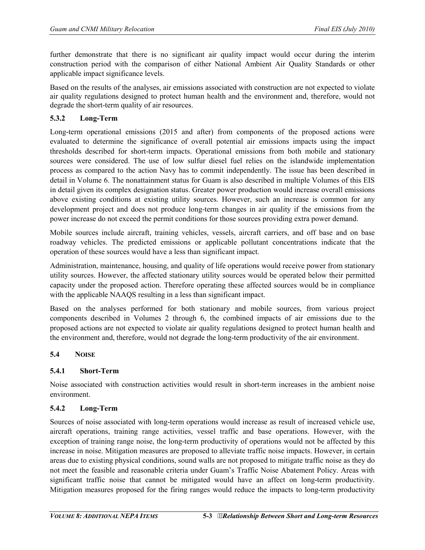further demonstrate that there is no significant air quality impact would occur during the interim construction period with the comparison of either National Ambient Air Quality Standards or other applicable impact significance levels.

Based on the results of the analyses, air emissions associated with construction are not expected to violate air quality regulations designed to protect human health and the environment and, therefore, would not degrade the short-term quality of air resources.

# **5.3.2 Long-Term**

Long-term operational emissions (2015 and after) from components of the proposed actions were evaluated to determine the significance of overall potential air emissions impacts using the impact thresholds described for short-term impacts. Operational emissions from both mobile and stationary sources were considered. The use of low sulfur diesel fuel relies on the islandwide implementation process as compared to the action Navy has to commit independently. The issue has been described in detail in Volume 6. The nonattainment status for Guam is also described in multiple Volumes of this EIS in detail given its complex designation status. Greater power production would increase overall emissions above existing conditions at existing utility sources. However, such an increase is common for any development project and does not produce long-term changes in air quality if the emissions from the power increase do not exceed the permit conditions for those sources providing extra power demand.

Mobile sources include aircraft, training vehicles, vessels, aircraft carriers, and off base and on base roadway vehicles. The predicted emissions or applicable pollutant concentrations indicate that the operation of these sources would have a less than significant impact.

Administration, maintenance, housing, and quality of life operations would receive power from stationary utility sources. However, the affected stationary utility sources would be operated below their permitted capacity under the proposed action. Therefore operating these affected sources would be in compliance with the applicable NAAQS resulting in a less than significant impact.

Based on the analyses performed for both stationary and mobile sources, from various project components described in Volumes 2 through 6, the combined impacts of air emissions due to the proposed actions are not expected to violate air quality regulations designed to protect human health and the environment and, therefore, would not degrade the long-term productivity of the air environment.

# **5.4 NOISE**

# **5.4.1 Short-Term**

Noise associated with construction activities would result in short-term increases in the ambient noise environment.

# **5.4.2 Long-Term**

Sources of noise associated with long-term operations would increase as result of increased vehicle use, aircraft operations, training range activities, vessel traffic and base operations. However, with the exception of training range noise, the long-term productivity of operations would not be affected by this increase in noise. Mitigation measures are proposed to alleviate traffic noise impacts. However, in certain areas due to existing physical conditions, sound walls are not proposed to mitigate traffic noise as they do not meet the feasible and reasonable criteria under Guam's Traffic Noise Abatement Policy. Areas with significant traffic noise that cannot be mitigated would have an affect on long-term productivity. Mitigation measures proposed for the firing ranges would reduce the impacts to long-term productivity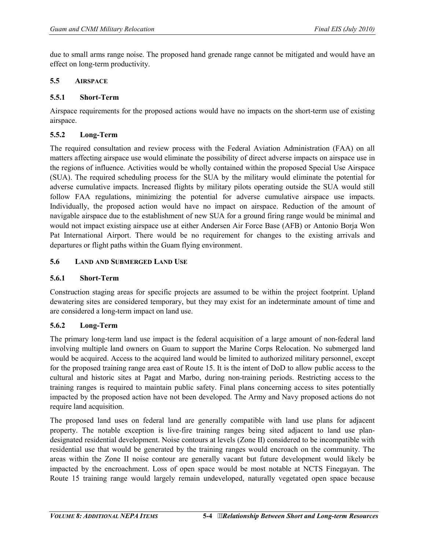due to small arms range noise. The proposed hand grenade range cannot be mitigated and would have an effect on long-term productivity.

# **5.5 AIRSPACE**

# **5.5.1 Short-Term**

Airspace requirements for the proposed actions would have no impacts on the short-term use of existing airspace.

# **5.5.2 Long-Term**

The required consultation and review process with the Federal Aviation Administration (FAA) on all matters affecting airspace use would eliminate the possibility of direct adverse impacts on airspace use in the regions of influence. Activities would be wholly contained within the proposed Special Use Airspace (SUA). The required scheduling process for the SUA by the military would eliminate the potential for adverse cumulative impacts. Increased flights by military pilots operating outside the SUA would still follow FAA regulations, minimizing the potential for adverse cumulative airspace use impacts. Individually, the proposed action would have no impact on airspace. Reduction of the amount of navigable airspace due to the establishment of new SUA for a ground firing range would be minimal and would not impact existing airspace use at either Andersen Air Force Base (AFB) or Antonio Borja Won Pat International Airport. There would be no requirement for changes to the existing arrivals and departures or flight paths within the Guam flying environment.

# **5.6 LAND AND SUBMERGED LAND USE**

### **5.6.1 Short-Term**

Construction staging areas for specific projects are assumed to be within the project footprint. Upland dewatering sites are considered temporary, but they may exist for an indeterminate amount of time and are considered a long-term impact on land use.

# **5.6.2 Long-Term**

The primary long-term land use impact is the federal acquisition of a large amount of non-federal land involving multiple land owners on Guam to support the Marine Corps Relocation. No submerged land would be acquired. Access to the acquired land would be limited to authorized military personnel, except for the proposed training range area east of Route 15. It is the intent of DoD to allow public access to the cultural and historic sites at Pagat and Marbo, during non-training periods. Restricting access to the training ranges is required to maintain public safety. Final plans concerning access to sites potentially impacted by the proposed action have not been developed. The Army and Navy proposed actions do not require land acquisition.

The proposed land uses on federal land are generally compatible with land use plans for adjacent property. The notable exception is live-fire training ranges being sited adjacent to land use plandesignated residential development. Noise contours at levels (Zone II) considered to be incompatible with residential use that would be generated by the training ranges would encroach on the community. The areas within the Zone II noise contour are generally vacant but future development would likely be impacted by the encroachment. Loss of open space would be most notable at NCTS Finegayan. The Route 15 training range would largely remain undeveloped, naturally vegetated open space because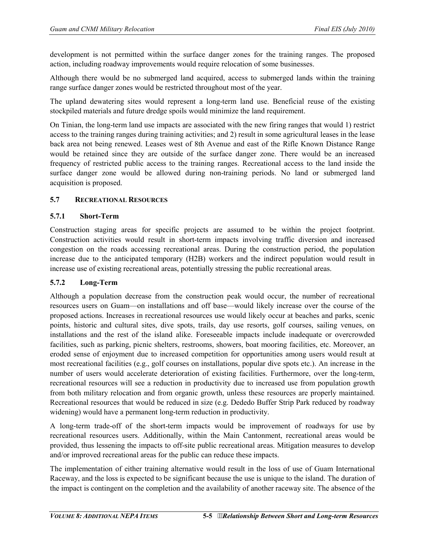development is not permitted within the surface danger zones for the training ranges. The proposed action, including roadway improvements would require relocation of some businesses.

Although there would be no submerged land acquired, access to submerged lands within the training range surface danger zones would be restricted throughout most of the year.

The upland dewatering sites would represent a long-term land use. Beneficial reuse of the existing stockpiled materials and future dredge spoils would minimize the land requirement.

On Tinian, the long-term land use impacts are associated with the new firing ranges that would 1) restrict access to the training ranges during training activities; and 2) result in some agricultural leases in the lease back area not being renewed. Leases west of 8th Avenue and east of the Rifle Known Distance Range would be retained since they are outside of the surface danger zone. There would be an increased frequency of restricted public access to the training ranges. Recreational access to the land inside the surface danger zone would be allowed during non-training periods. No land or submerged land acquisition is proposed.

#### **5.7 RECREATIONAL RESOURCES**

#### **5.7.1 Short-Term**

Construction staging areas for specific projects are assumed to be within the project footprint. Construction activities would result in short-term impacts involving traffic diversion and increased congestion on the roads accessing recreational areas. During the construction period, the population increase due to the anticipated temporary (H2B) workers and the indirect population would result in increase use of existing recreational areas, potentially stressing the public recreational areas.

# **5.7.2 Long-Term**

Although a population decrease from the construction peak would occur, the number of recreational resources users on Guam—on installations and off base—would likely increase over the course of the proposed actions. Increases in recreational resources use would likely occur at beaches and parks, scenic points, historic and cultural sites, dive spots, trails, day use resorts, golf courses, sailing venues, on installations and the rest of the island alike. Foreseeable impacts include inadequate or overcrowded facilities, such as parking, picnic shelters, restrooms, showers, boat mooring facilities, etc. Moreover, an eroded sense of enjoyment due to increased competition for opportunities among users would result at most recreational facilities (e.g., golf courses on installations, popular dive spots etc.). An increase in the number of users would accelerate deterioration of existing facilities. Furthermore, over the long-term, recreational resources will see a reduction in productivity due to increased use from population growth from both military relocation and from organic growth, unless these resources are properly maintained. Recreational resources that would be reduced in size (e.g. Dededo Buffer Strip Park reduced by roadway widening) would have a permanent long-term reduction in productivity.

A long-term trade-off of the short-term impacts would be improvement of roadways for use by recreational resources users. Additionally, within the Main Cantonment, recreational areas would be provided, thus lessening the impacts to off-site public recreational areas. Mitigation measures to develop and/or improved recreational areas for the public can reduce these impacts.

The implementation of either training alternative would result in the loss of use of Guam International Raceway, and the loss is expected to be significant because the use is unique to the island. The duration of the impact is contingent on the completion and the availability of another raceway site. The absence of the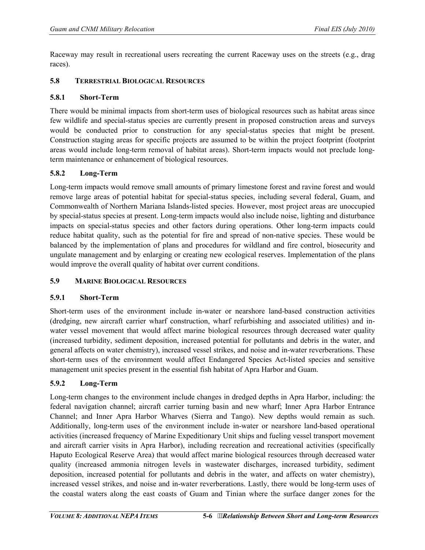Raceway may result in recreational users recreating the current Raceway uses on the streets (e.g., drag races).

### **5.8 TERRESTRIAL BIOLOGICAL RESOURCES**

#### **5.8.1 Short-Term**

There would be minimal impacts from short-term uses of biological resources such as habitat areas since few wildlife and special-status species are currently present in proposed construction areas and surveys would be conducted prior to construction for any special-status species that might be present. Construction staging areas for specific projects are assumed to be within the project footprint (footprint areas would include long-term removal of habitat areas). Short-term impacts would not preclude longterm maintenance or enhancement of biological resources.

# **5.8.2 Long-Term**

Long-term impacts would remove small amounts of primary limestone forest and ravine forest and would remove large areas of potential habitat for special-status species, including several federal, Guam, and Commonwealth of Northern Mariana Islands-listed species. However, most project areas are unoccupied by special-status species at present. Long-term impacts would also include noise, lighting and disturbance impacts on special-status species and other factors during operations. Other long-term impacts could reduce habitat quality, such as the potential for fire and spread of non-native species. These would be balanced by the implementation of plans and procedures for wildland and fire control, biosecurity and ungulate management and by enlarging or creating new ecological reserves. Implementation of the plans would improve the overall quality of habitat over current conditions.

# **5.9 MARINE BIOLOGICAL RESOURCES**

# **5.9.1 Short-Term**

Short-term uses of the environment include in-water or nearshore land-based construction activities (dredging, new aircraft carrier wharf construction, wharf refurbishing and associated utilities) and inwater vessel movement that would affect marine biological resources through decreased water quality (increased turbidity, sediment deposition, increased potential for pollutants and debris in the water, and general affects on water chemistry), increased vessel strikes, and noise and in-water reverberations. These short-term uses of the environment would affect Endangered Species Act-listed species and sensitive management unit species present in the essential fish habitat of Apra Harbor and Guam.

# **5.9.2 Long-Term**

Long-term changes to the environment include changes in dredged depths in Apra Harbor, including: the federal navigation channel; aircraft carrier turning basin and new wharf; Inner Apra Harbor Entrance Channel; and Inner Apra Harbor Wharves (Sierra and Tango). New depths would remain as such. Additionally, long-term uses of the environment include in-water or nearshore land-based operational activities (increased frequency of Marine Expeditionary Unit ships and fueling vessel transport movement and aircraft carrier visits in Apra Harbor), including recreation and recreational activities (specifically Haputo Ecological Reserve Area) that would affect marine biological resources through decreased water quality (increased ammonia nitrogen levels in wastewater discharges, increased turbidity, sediment deposition, increased potential for pollutants and debris in the water, and affects on water chemistry), increased vessel strikes, and noise and in-water reverberations. Lastly, there would be long-term uses of the coastal waters along the east coasts of Guam and Tinian where the surface danger zones for the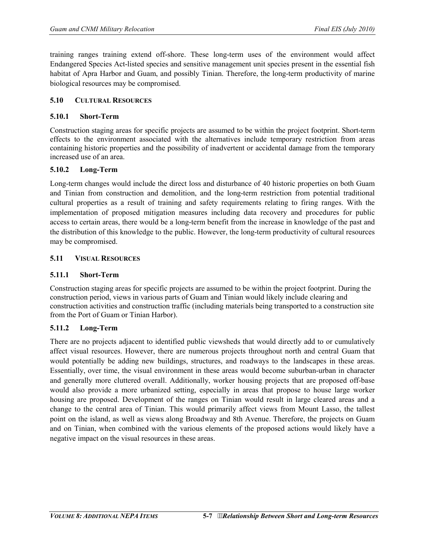training ranges training extend off-shore. These long-term uses of the environment would affect Endangered Species Act-listed species and sensitive management unit species present in the essential fish habitat of Apra Harbor and Guam, and possibly Tinian. Therefore, the long-term productivity of marine biological resources may be compromised.

#### **5.10 CULTURAL RESOURCES**

### **5.10.1 Short-Term**

Construction staging areas for specific projects are assumed to be within the project footprint. Short-term effects to the environment associated with the alternatives include temporary restriction from areas containing historic properties and the possibility of inadvertent or accidental damage from the temporary increased use of an area.

#### **5.10.2 Long-Term**

Long-term changes would include the direct loss and disturbance of 40 historic properties on both Guam and Tinian from construction and demolition, and the long-term restriction from potential traditional cultural properties as a result of training and safety requirements relating to firing ranges. With the implementation of proposed mitigation measures including data recovery and procedures for public access to certain areas, there would be a long-term benefit from the increase in knowledge of the past and the distribution of this knowledge to the public. However, the long-term productivity of cultural resources may be compromised.

#### **5.11 VISUAL RESOURCES**

### **5.11.1 Short-Term**

Construction staging areas for specific projects are assumed to be within the project footprint. During the construction period, views in various parts of Guam and Tinian would likely include clearing and construction activities and construction traffic (including materials being transported to a construction site from the Port of Guam or Tinian Harbor).

#### **5.11.2 Long-Term**

There are no projects adjacent to identified public viewsheds that would directly add to or cumulatively affect visual resources. However, there are numerous projects throughout north and central Guam that would potentially be adding new buildings, structures, and roadways to the landscapes in these areas. Essentially, over time, the visual environment in these areas would become suburban-urban in character and generally more cluttered overall. Additionally, worker housing projects that are proposed off-base would also provide a more urbanized setting, especially in areas that propose to house large worker housing are proposed. Development of the ranges on Tinian would result in large cleared areas and a change to the central area of Tinian. This would primarily affect views from Mount Lasso, the tallest point on the island, as well as views along Broadway and 8th Avenue. Therefore, the projects on Guam and on Tinian, when combined with the various elements of the proposed actions would likely have a negative impact on the visual resources in these areas.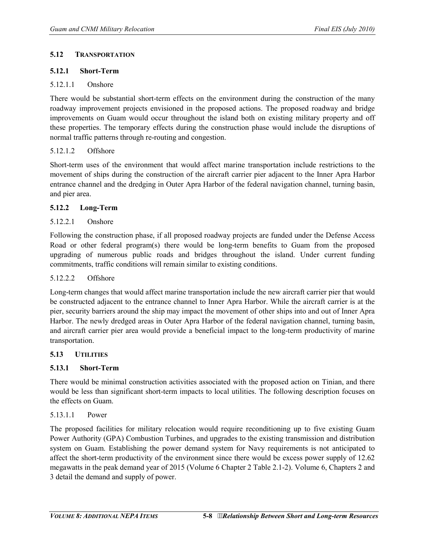#### **5.12 TRANSPORTATION**

### **5.12.1 Short-Term**

### 5.12.1.1 Onshore

There would be substantial short-term effects on the environment during the construction of the many roadway improvement projects envisioned in the proposed actions. The proposed roadway and bridge improvements on Guam would occur throughout the island both on existing military property and off these properties. The temporary effects during the construction phase would include the disruptions of normal traffic patterns through re-routing and congestion.

#### 5.12.1.2 Offshore

Short-term uses of the environment that would affect marine transportation include restrictions to the movement of ships during the construction of the aircraft carrier pier adjacent to the Inner Apra Harbor entrance channel and the dredging in Outer Apra Harbor of the federal navigation channel, turning basin, and pier area.

#### **5.12.2 Long-Term**

# 5.12.2.1 Onshore

Following the construction phase, if all proposed roadway projects are funded under the Defense Access Road or other federal program(s) there would be long-term benefits to Guam from the proposed upgrading of numerous public roads and bridges throughout the island. Under current funding commitments, traffic conditions will remain similar to existing conditions.

#### 5.12.2.2 Offshore

Long-term changes that would affect marine transportation include the new aircraft carrier pier that would be constructed adjacent to the entrance channel to Inner Apra Harbor. While the aircraft carrier is at the pier, security barriers around the ship may impact the movement of other ships into and out of Inner Apra Harbor. The newly dredged areas in Outer Apra Harbor of the federal navigation channel, turning basin, and aircraft carrier pier area would provide a beneficial impact to the long-term productivity of marine transportation.

#### **5.13 UTILITIES**

# **5.13.1 Short-Term**

There would be minimal construction activities associated with the proposed action on Tinian, and there would be less than significant short-term impacts to local utilities. The following description focuses on the effects on Guam.

#### 5.13.1.1 Power

The proposed facilities for military relocation would require reconditioning up to five existing Guam Power Authority (GPA) Combustion Turbines, and upgrades to the existing transmission and distribution system on Guam. Establishing the power demand system for Navy requirements is not anticipated to affect the short-term productivity of the environment since there would be excess power supply of 12.62 megawatts in the peak demand year of 2015 (Volume 6 Chapter 2 Table 2.1-2). Volume 6, Chapters 2 and 3 detail the demand and supply of power.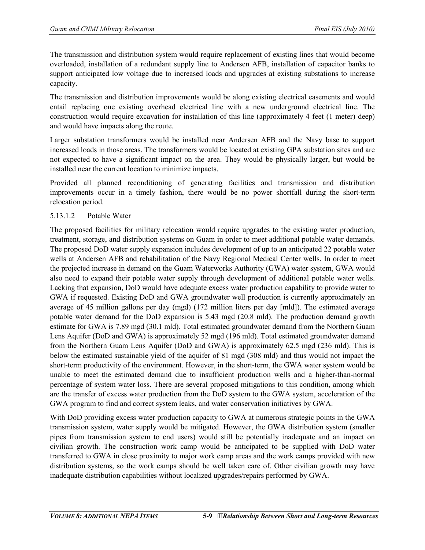The transmission and distribution system would require replacement of existing lines that would become overloaded, installation of a redundant supply line to Andersen AFB, installation of capacitor banks to support anticipated low voltage due to increased loads and upgrades at existing substations to increase capacity.

The transmission and distribution improvements would be along existing electrical easements and would entail replacing one existing overhead electrical line with a new underground electrical line. The construction would require excavation for installation of this line (approximately 4 feet (1 meter) deep) and would have impacts along the route.

Larger substation transformers would be installed near Andersen AFB and the Navy base to support increased loads in those areas. The transformers would be located at existing GPA substation sites and are not expected to have a significant impact on the area. They would be physically larger, but would be installed near the current location to minimize impacts.

Provided all planned reconditioning of generating facilities and transmission and distribution improvements occur in a timely fashion, there would be no power shortfall during the short-term relocation period.

# 5.13.1.2 Potable Water

The proposed facilities for military relocation would require upgrades to the existing water production, treatment, storage, and distribution systems on Guam in order to meet additional potable water demands. The proposed DoD water supply expansion includes development of up to an anticipated 22 potable water wells at Andersen AFB and rehabilitation of the Navy Regional Medical Center wells. In order to meet the projected increase in demand on the Guam Waterworks Authority (GWA) water system, GWA would also need to expand their potable water supply through development of additional potable water wells. Lacking that expansion, DoD would have adequate excess water production capability to provide water to GWA if requested. Existing DoD and GWA groundwater well production is currently approximately an average of 45 million gallons per day (mgd) (172 million liters per day [mld]). The estimated average potable water demand for the DoD expansion is 5.43 mgd (20.8 mld). The production demand growth estimate for GWA is 7.89 mgd (30.1 mld). Total estimated groundwater demand from the Northern Guam Lens Aquifer (DoD and GWA) is approximately 52 mgd (196 mld). Total estimated groundwater demand from the Northern Guam Lens Aquifer (DoD and GWA) is approximately 62.5 mgd (236 mld). This is below the estimated sustainable yield of the aquifer of 81 mgd (308 mld) and thus would not impact the short-term productivity of the environment. However, in the short-term, the GWA water system would be unable to meet the estimated demand due to insufficient production wells and a higher-than-normal percentage of system water loss. There are several proposed mitigations to this condition, among which are the transfer of excess water production from the DoD system to the GWA system, acceleration of the GWA program to find and correct system leaks, and water conservation initiatives by GWA.

With DoD providing excess water production capacity to GWA at numerous strategic points in the GWA transmission system, water supply would be mitigated. However, the GWA distribution system (smaller pipes from transmission system to end users) would still be potentially inadequate and an impact on civilian growth. The construction work camp would be anticipated to be supplied with DoD water transferred to GWA in close proximity to major work camp areas and the work camps provided with new distribution systems, so the work camps should be well taken care of. Other civilian growth may have inadequate distribution capabilities without localized upgrades/repairs performed by GWA.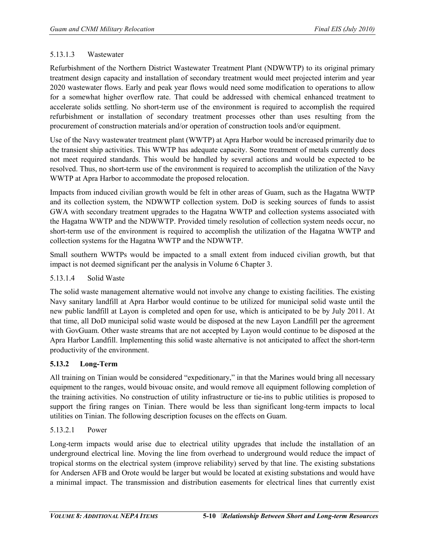#### 5.13.1.3 Wastewater

Refurbishment of the Northern District Wastewater Treatment Plant (NDWWTP) to its original primary treatment design capacity and installation of secondary treatment would meet projected interim and year 2020 wastewater flows. Early and peak year flows would need some modification to operations to allow for a somewhat higher overflow rate. That could be addressed with chemical enhanced treatment to accelerate solids settling. No short-term use of the environment is required to accomplish the required refurbishment or installation of secondary treatment processes other than uses resulting from the procurement of construction materials and/or operation of construction tools and/or equipment.

Use of the Navy wastewater treatment plant (WWTP) at Apra Harbor would be increased primarily due to the transient ship activities. This WWTP has adequate capacity. Some treatment of metals currently does not meet required standards. This would be handled by several actions and would be expected to be resolved. Thus, no short-term use of the environment is required to accomplish the utilization of the Navy WWTP at Apra Harbor to accommodate the proposed relocation.

Impacts from induced civilian growth would be felt in other areas of Guam, such as the Hagatna WWTP and its collection system, the NDWWTP collection system. DoD is seeking sources of funds to assist GWA with secondary treatment upgrades to the Hagatna WWTP and collection systems associated with the Hagatna WWTP and the NDWWTP. Provided timely resolution of collection system needs occur, no short-term use of the environment is required to accomplish the utilization of the Hagatna WWTP and collection systems for the Hagatna WWTP and the NDWWTP.

Small southern WWTPs would be impacted to a small extent from induced civilian growth, but that impact is not deemed significant per the analysis in Volume 6 Chapter 3.

### 5.13.1.4 Solid Waste

The solid waste management alternative would not involve any change to existing facilities. The existing Navy sanitary landfill at Apra Harbor would continue to be utilized for municipal solid waste until the new public landfill at Layon is completed and open for use, which is anticipated to be by July 2011. At that time, all DoD municipal solid waste would be disposed at the new Layon Landfill per the agreement with GovGuam. Other waste streams that are not accepted by Layon would continue to be disposed at the Apra Harbor Landfill. Implementing this solid waste alternative is not anticipated to affect the short-term productivity of the environment.

# **5.13.2 Long-Term**

All training on Tinian would be considered "expeditionary," in that the Marines would bring all necessary equipment to the ranges, would bivouac onsite, and would remove all equipment following completion of the training activities. No construction of utility infrastructure or tie-ins to public utilities is proposed to support the firing ranges on Tinian. There would be less than significant long-term impacts to local utilities on Tinian. The following description focuses on the effects on Guam.

# 5.13.2.1 Power

Long-term impacts would arise due to electrical utility upgrades that include the installation of an underground electrical line. Moving the line from overhead to underground would reduce the impact of tropical storms on the electrical system (improve reliability) served by that line. The existing substations for Andersen AFB and Orote would be larger but would be located at existing substations and would have a minimal impact. The transmission and distribution easements for electrical lines that currently exist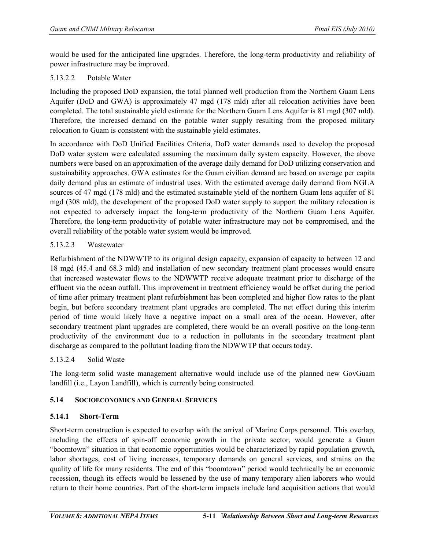would be used for the anticipated line upgrades. Therefore, the long-term productivity and reliability of power infrastructure may be improved.

#### 5.13.2.2 Potable Water

Including the proposed DoD expansion, the total planned well production from the Northern Guam Lens Aquifer (DoD and GWA) is approximately 47 mgd (178 mld) after all relocation activities have been completed. The total sustainable yield estimate for the Northern Guam Lens Aquifer is 81 mgd (307 mld). Therefore, the increased demand on the potable water supply resulting from the proposed military relocation to Guam is consistent with the sustainable yield estimates.

In accordance with DoD Unified Facilities Criteria, DoD water demands used to develop the proposed DoD water system were calculated assuming the maximum daily system capacity. However, the above numbers were based on an approximation of the average daily demand for DoD utilizing conservation and sustainability approaches. GWA estimates for the Guam civilian demand are based on average per capita daily demand plus an estimate of industrial uses. With the estimated average daily demand from NGLA sources of 47 mgd (178 mld) and the estimated sustainable yield of the northern Guam lens aquifer of 81 mgd (308 mld), the development of the proposed DoD water supply to support the military relocation is not expected to adversely impact the long-term productivity of the Northern Guam Lens Aquifer. Therefore, the long-term productivity of potable water infrastructure may not be compromised, and the overall reliability of the potable water system would be improved.

# 5.13.2.3 Wastewater

Refurbishment of the NDWWTP to its original design capacity, expansion of capacity to between 12 and 18 mgd (45.4 and 68.3 mld) and installation of new secondary treatment plant processes would ensure that increased wastewater flows to the NDWWTP receive adequate treatment prior to discharge of the effluent via the ocean outfall. This improvement in treatment efficiency would be offset during the period of time after primary treatment plant refurbishment has been completed and higher flow rates to the plant begin, but before secondary treatment plant upgrades are completed. The net effect during this interim period of time would likely have a negative impact on a small area of the ocean. However, after secondary treatment plant upgrades are completed, there would be an overall positive on the long-term productivity of the environment due to a reduction in pollutants in the secondary treatment plant discharge as compared to the pollutant loading from the NDWWTP that occurs today.

# 5.13.2.4 Solid Waste

The long-term solid waste management alternative would include use of the planned new GovGuam landfill (i.e., Layon Landfill), which is currently being constructed.

# **5.14 SOCIOECONOMICS AND GENERAL SERVICES**

# **5.14.1 Short-Term**

Short-term construction is expected to overlap with the arrival of Marine Corps personnel. This overlap, including the effects of spin-off economic growth in the private sector, would generate a Guam "boomtown" situation in that economic opportunities would be characterized by rapid population growth, labor shortages, cost of living increases, temporary demands on general services, and strains on the quality of life for many residents. The end of this "boomtown" period would technically be an economic recession, though its effects would be lessened by the use of many temporary alien laborers who would return to their home countries. Part of the short-term impacts include land acquisition actions that would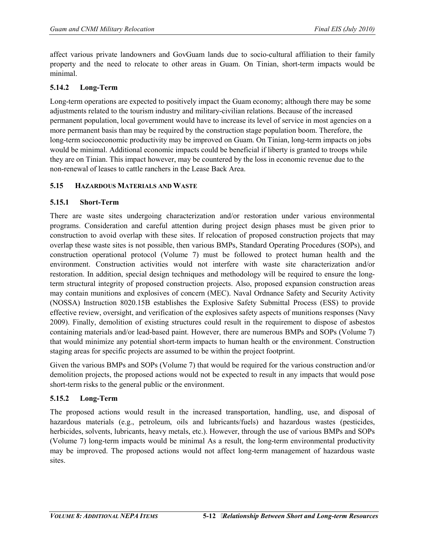affect various private landowners and GovGuam lands due to socio-cultural affiliation to their family property and the need to relocate to other areas in Guam. On Tinian, short-term impacts would be minimal.

# **5.14.2 Long-Term**

Long-term operations are expected to positively impact the Guam economy; although there may be some adjustments related to the tourism industry and military-civilian relations. Because of the increased permanent population, local government would have to increase its level of service in most agencies on a more permanent basis than may be required by the construction stage population boom. Therefore, the long-term socioeconomic productivity may be improved on Guam. On Tinian, long-term impacts on jobs would be minimal. Additional economic impacts could be beneficial if liberty is granted to troops while they are on Tinian. This impact however, may be countered by the loss in economic revenue due to the non-renewal of leases to cattle ranchers in the Lease Back Area.

# **5.15 HAZARDOUS MATERIALS AND WASTE**

# **5.15.1 Short-Term**

There are waste sites undergoing characterization and/or restoration under various environmental programs. Consideration and careful attention during project design phases must be given prior to construction to avoid overlap with these sites. If relocation of proposed construction projects that may overlap these waste sites is not possible, then various BMPs, Standard Operating Procedures (SOPs), and construction operational protocol (Volume 7) must be followed to protect human health and the environment. Construction activities would not interfere with waste site characterization and/or restoration. In addition, special design techniques and methodology will be required to ensure the longterm structural integrity of proposed construction projects. Also, proposed expansion construction areas may contain munitions and explosives of concern (MEC). Naval Ordnance Safety and Security Activity (NOSSA) Instruction 8020.15B establishes the Explosive Safety Submittal Process (ESS) to provide effective review, oversight, and verification of the explosives safety aspects of munitions responses (Navy 2009). Finally, demolition of existing structures could result in the requirement to dispose of asbestos containing materials and/or lead-based paint. However, there are numerous BMPs and SOPs (Volume 7) that would minimize any potential short-term impacts to human health or the environment. Construction staging areas for specific projects are assumed to be within the project footprint.

Given the various BMPs and SOPs (Volume 7) that would be required for the various construction and/or demolition projects, the proposed actions would not be expected to result in any impacts that would pose short-term risks to the general public or the environment.

# **5.15.2 Long-Term**

The proposed actions would result in the increased transportation, handling, use, and disposal of hazardous materials (e.g., petroleum, oils and lubricants/fuels) and hazardous wastes (pesticides, herbicides, solvents, lubricants, heavy metals, etc.). However, through the use of various BMPs and SOPs (Volume 7) long-term impacts would be minimal As a result, the long-term environmental productivity may be improved. The proposed actions would not affect long-term management of hazardous waste sites.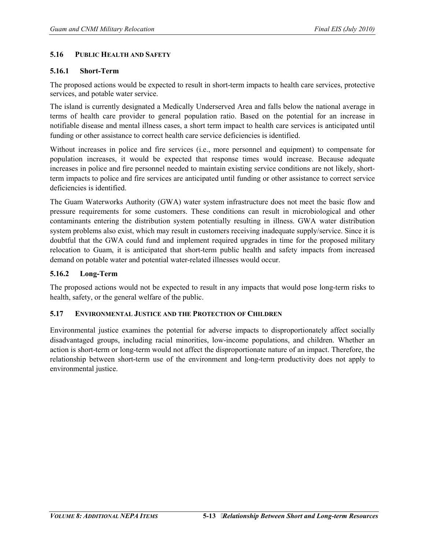#### **5.16 PUBLIC HEALTH AND SAFETY**

### **5.16.1 Short-Term**

The proposed actions would be expected to result in short-term impacts to health care services, protective services, and potable water service.

The island is currently designated a Medically Underserved Area and falls below the national average in terms of health care provider to general population ratio. Based on the potential for an increase in notifiable disease and mental illness cases, a short term impact to health care services is anticipated until funding or other assistance to correct health care service deficiencies is identified.

Without increases in police and fire services (i.e., more personnel and equipment) to compensate for population increases, it would be expected that response times would increase. Because adequate increases in police and fire personnel needed to maintain existing service conditions are not likely, shortterm impacts to police and fire services are anticipated until funding or other assistance to correct service deficiencies is identified.

The Guam Waterworks Authority (GWA) water system infrastructure does not meet the basic flow and pressure requirements for some customers. These conditions can result in microbiological and other contaminants entering the distribution system potentially resulting in illness. GWA water distribution system problems also exist, which may result in customers receiving inadequate supply/service. Since it is doubtful that the GWA could fund and implement required upgrades in time for the proposed military relocation to Guam, it is anticipated that short-term public health and safety impacts from increased demand on potable water and potential water-related illnesses would occur.

### **5.16.2 Long-Term**

The proposed actions would not be expected to result in any impacts that would pose long-term risks to health, safety, or the general welfare of the public.

#### **5.17 ENVIRONMENTAL JUSTICE AND THE PROTECTION OF CHILDREN**

Environmental justice examines the potential for adverse impacts to disproportionately affect socially disadvantaged groups, including racial minorities, low-income populations, and children. Whether an action is short-term or long-term would not affect the disproportionate nature of an impact. Therefore, the relationship between short-term use of the environment and long-term productivity does not apply to environmental justice.